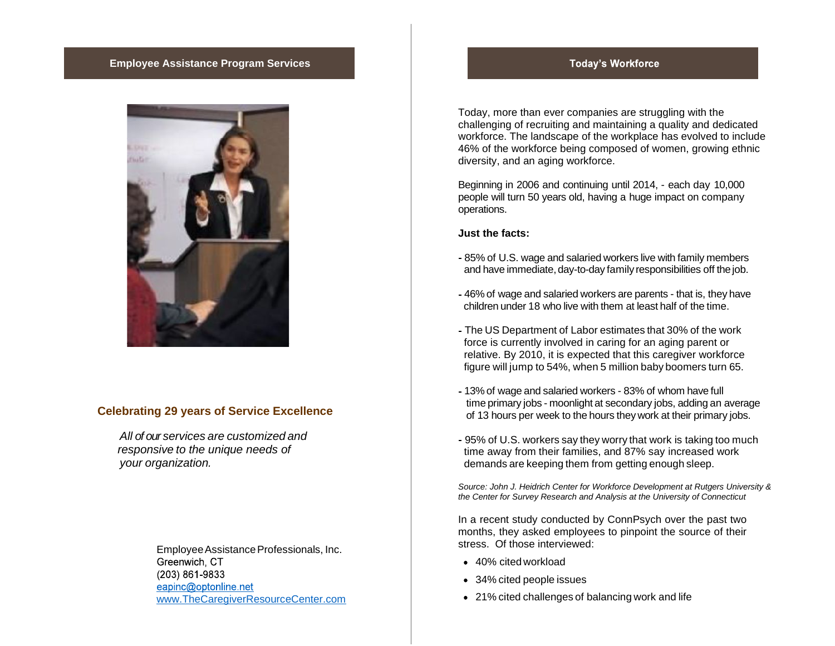### **Employee Assistance Program Services**



### **Celebrating 29 years of Service Excellence**

*All of our services are customized and responsive to the unique needs of your organization.*

> Employee Assistance Professionals, Inc. Greenwich, CT (203) 861-9833 eapinc@optonline.net <www.TheCaregiverResourceCenter.com>

## **Today's Workforce**

Today, more than ever companies are struggling with the challenging of recruiting and maintaining a quality and dedicated workforce. The landscape of the workplace has evolved to include 46% of the workforce being composed of women, growing ethnic diversity, and an aging workforce.

Beginning in 2006 and continuing until 2014, - each day 10,000 people will turn 50 years old, having a huge impact on company operations.

**Just the facts:**

- 85% of U.S. wage and salaried workers live with family members and have immediate, day-to-day family responsibilities off the job.
- 46% of wage and salaried workers are parents that is, they have children under 18 who live with them at least half of the time.
- The US Department of Labor estimates that 30% of the work force is currently involved in caring for an aging parent or relative. By 2010, it is expected that this caregiver workforce figure will jump to 54%, when 5 million baby boomers turn 65.
- 13% of wage and salaried workers 83% of whom have full time primary jobs - moonlight at secondary jobs, adding an average of 13 hours per week to the hours they work at their primary jobs.
- 95% of U.S. workers say they worry that work is taking too much time away from their families, and 87% say increased work demands are keeping them from getting enough sleep.

*Source: John J. Heidrich Center for Workforce Development at Rutgers University & the Center for Survey Research and Analysis at the University of Connecticut*

In a recent study conducted by ConnPsych over the past two months, they asked employees to pinpoint the source of their stress. Of those interviewed:

- 40% cited workload
- 34% cited people issues
- 21% cited challenges of balancing work and life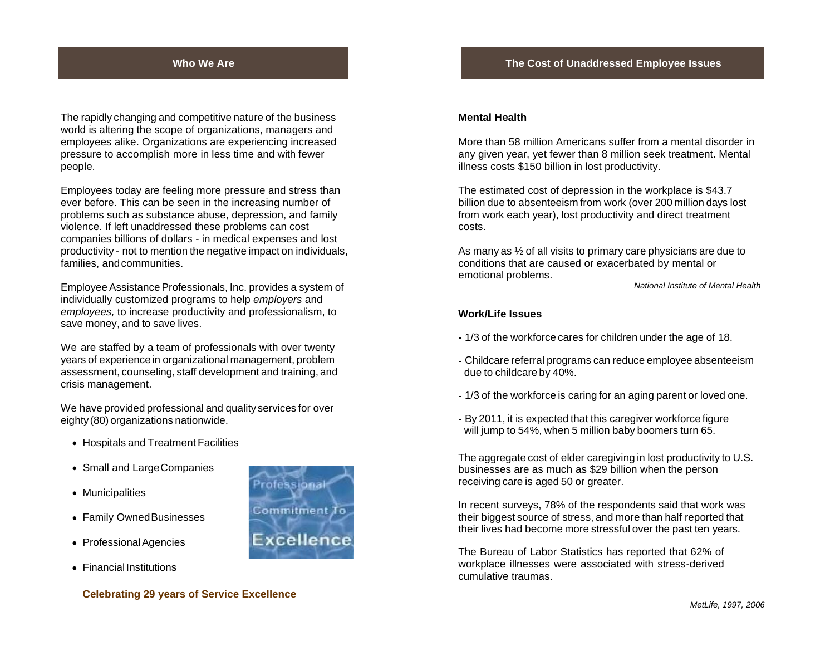### **Who We Are The Cost of Unaddressed Employee Issues**

The rapidly changing and competitive nature of the business world is altering the scope of organizations, managers and employees alike. Organizations are experiencing increased pressure to accomplish more in less time and with fewer people.

Employees today are feeling more pressure and stress than ever before. This can be seen in the increasing number of problems such as substance abuse, depression, and family violence. If left unaddressed these problems can cost companies billions of dollars - in medical expenses and lost productivity - not to mention the negative impact on individuals, families, andcommunities.

Employee Assistance Professionals, Inc. provides a system of individually customized programs to help *employers* and *employees,* to increase productivity and professionalism, to save money, and to save lives.

We are staffed by a team of professionals with over twenty years of experience in organizational management, problem assessment, counseling, staff development and training, and crisis management.

We have provided professional and quality services for over eighty (80) organizations nationwide.

- Hospitals and Treatment Facilities
- Small and Large Companies
- Municipalities
- Family Owned Businesses
- Professional Agencies
- Financial Institutions



### **Mental Health**

More than 58 million Americans suffer from a mental disorder in any given year, yet fewer than 8 million seek treatment. Mental illness costs \$150 billion in lost productivity.

The estimated cost of depression in the workplace is \$43.7 billion due to absenteeism from work (over 200 million days lost from work each year), lost productivity and direct treatment costs.

As many as ½ of all visits to primary care physicians are due to conditions that are caused or exacerbated by mental or emotional problems.

*National Institute of Mental Health*

### **Work/Life Issues**

- 1/3 of the workforce cares for children under the age of 18.
- Childcare referral programs can reduce employee absenteeism due to childcare by 40%.
- 1/3 of the workforce is caring for an aging parent or loved one.
- By 2011, it is expected that this caregiver workforce figure will jump to 54%, when 5 million baby boomers turn 65.

The aggregate cost of elder caregiving in lost productivity to U.S. businesses are as much as \$29 billion when the person receiving care is aged 50 or greater.

In recent surveys, 78% of the respondents said that work was their biggest source of stress, and more than half reported that their lives had become more stressful over the past ten years.

The Bureau of Labor Statistics has reported that 62% of workplace illnesses were associated with stress-derived cumulative traumas.

**Celebrating 29 years of Service Excellence**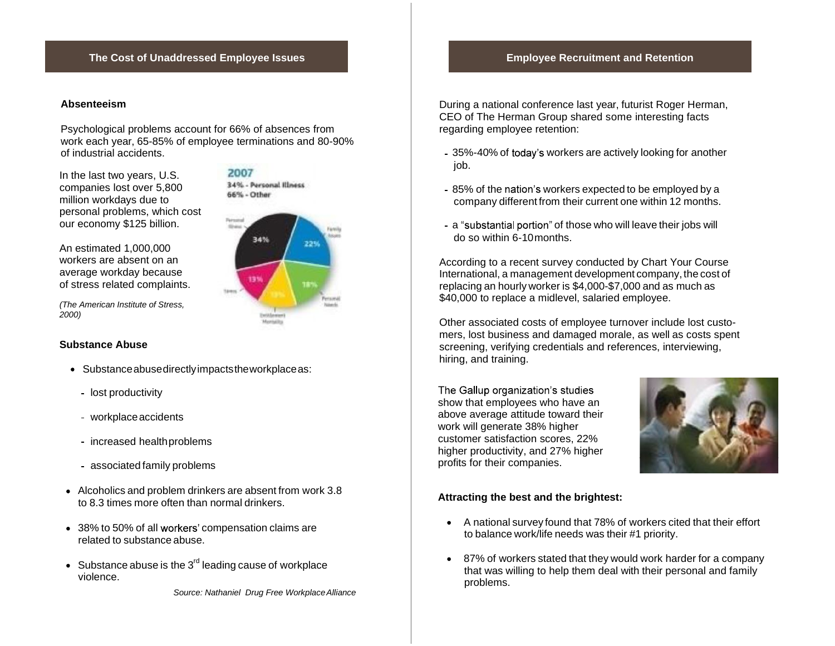## **The Cost of Unaddressed Employee Issues Employee Recruitment and Retention**

### **Absenteeism**

Psychological problems account for 66% of absences from work each year, 65-85% of employee terminations and 80-90% of industrial accidents.

million workdays due to **contract of the contract** personal problems, which cost our economy \$125 billion. In the last two years, U.S. companies lost over 5,800

workers are absent on an average workday because costs in the work of stress related complaints. An estimated 1,000,000

*(The American Institute of Stress,*<br>2000) *2000)*

### **Substance Abuse**

- Substanceabusedirectlyimpactstheworkplaceas:
	- lost productivity
	- workplace accidents
	- increased healthproblems
	- associated family problems
- Alcoholics and problem drinkers are absent from work 3.8 to 8.3 times more often than normal drinkers.
- 38% to 50% of all workers' compensation claims are related to substance abuse.
- Substance abuse is the  $3^{\mathsf{rd}}$  leading cause of workplace violence.

*Source: Nathaniel Drug Free WorkplaceAlliance*

During a national conference last year, futurist Roger Herman, CEO of The Herman Group shared some interesting facts regarding employee retention:

- 35%-40% of today's workers are actively looking for another job.
- 85% of the nation's workers expected to be employed by a company different from their current one within 12 months.
- a "substantial portion" of those who will leave their jobs will do so within 6-10months.

According to a recent survey conducted by Chart Your Course International, a management development company, the cost of replacing an hourly worker is \$4,000-\$7,000 and as much as \$40,000 to replace a midlevel, salaried employee.

Other associated costs of employee turnover include lost custo mers, lost business and damaged morale, as well as costs spent screening, verifying credentials and references, interviewing, hiring, and training.

The Gallup organization's studies show that employees who have an above average attitude toward their work will generate 38% higher customer satisfaction scores, 22% higher productivity, and 27% higher profits for their companies.



### **Attracting the best and the brightest:**

- A national survey found that 78% of workers cited that their effort to balance work/life needs was their #1 priority.
- 87% of workers stated that they would work harder for a company that was willing to help them deal with their personal and family problems.

2007 34% - Personal Illness  $\frac{1}{2}$ 

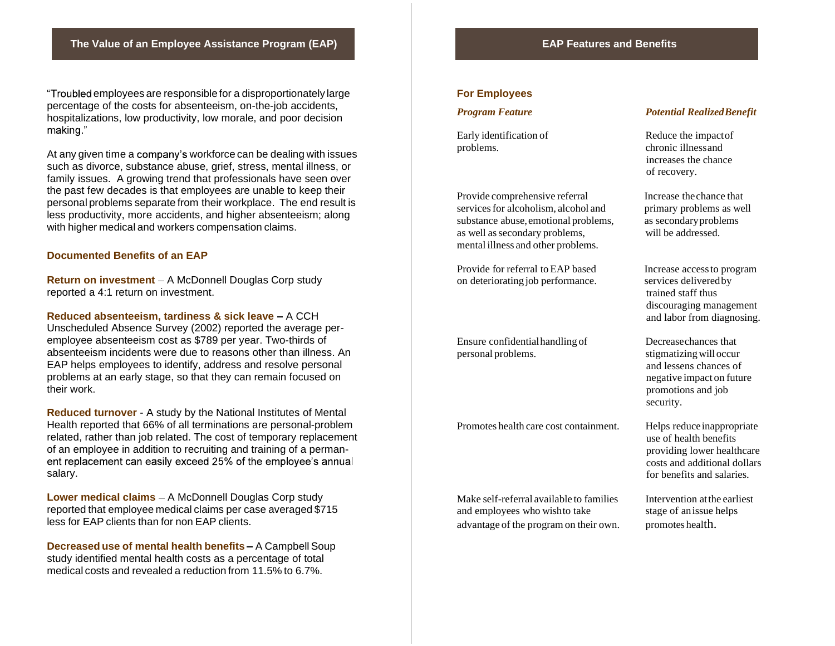"Troubled employees are responsible for a disproportionately large percentage of the costs for absenteeism, on-the-job accidents, hospitalizations, low productivity, low morale, and poor decision making."

At any given time a company's workforce can be dealing with issues such as divorce, substance abuse, grief, stress, mental illness, or family issues. A growing trend that professionals have seen over the past few decades is that employees are unable to keep their personal problems separate from their workplace. The end result is less productivity, more accidents, and higher absenteeism; along with higher medical and workers compensation claims.

### **Documented Benefits of an EAP**

**Return on investment** - A McDonnell Douglas Corp study reported a 4:1 return on investment.

**Reduced absenteeism, tardiness & sick leave - A CCH** Unscheduled Absence Survey (2002) reported the average per employee absenteeism cost as \$789 per year. Two-thirds of absenteeism incidents were due to reasons other than illness. An EAP helps employees to identify, address and resolve personal problems at an early stage, so that they can remain focused on their work.

**Reduced turnover** - A study by the National Institutes of Mental Health reported that 66% of all terminations are personal-problem related, rather than job related. The cost of temporary replacement of an employee in addition to recruiting and training of a perman ent replacement can easily exceed 25% of the employee's annual salary.

**Lower medical claims** – A McDonnell Douglas Corp study reported that employee medical claims per case averaged \$715 less for EAP clients than for non EAP clients.

**Decreased use of mental health benefits** - A Campbell Soup study identified mental health costs as a percentage of total medical costs and revealed a reduction from 11.5% to 6.7%.

### **For Employees**

Early identification of Reduce the impact of problems. chronic illnessand

Provide comprehensive referral Increase the chance that services for alcoholism, alcohol and primary problems as well substance abuse, emotional problems, as secondary problems as well assecondary problems, will be addressed. mental illness and other problems.

Provide for referral to EAP based Increase access to program on deteriorating job performance. services delivered by

Ensure confidentialhandling of Decreasechances that personal problems. Stigmatizing will occur

Promotes health care cost containment. Helps reduce inappropriate

Make self-referral available to families Intervention at the earliest and employees who wish to take stage of an issue helps advantage of the program on their own. promotes health.

### *Program Feature Potential RealizedBenefit*

increases the chance of recovery.

trained staff thus discouraging management and labor from diagnosing.

and lessens chances of negative impact on future promotions and job security.

use of health benefits providing lower healthcare costs and additional dollars for benefits and salaries.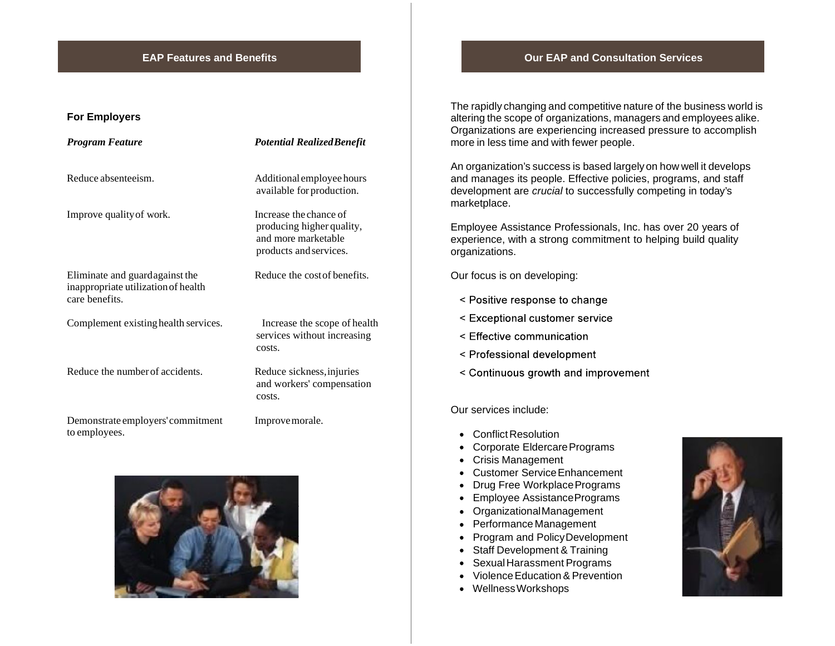# **For Employers**

| Program Feature                                                                          | <b>Potential Realized Benefit</b>                                                                    |
|------------------------------------------------------------------------------------------|------------------------------------------------------------------------------------------------------|
| Reduce absenteeism.                                                                      | Additional employee hours<br>available for production.                                               |
| Improve quality of work.                                                                 | Increase the chance of<br>producing higher quality,<br>and more marketable<br>products and services. |
| Eliminate and guard against the<br>inappropriate utilization of health<br>care benefits. | Reduce the cost of benefits.                                                                         |
| Complement existing health services.                                                     | Increase the scope of health<br>services without increasing<br>costs.                                |
| Reduce the number of accidents.                                                          | Reduce sickness, injuries<br>and workers' compensation<br>costs.                                     |
| Demonstrate employers' commitment<br>to employees.                                       | Improve morale.                                                                                      |



### **EAP Features and Benefits Our EAP and Consultation Services**

The rapidly changing and competitive nature of the business world is altering the scope of organizations, managers and employees alike. Organizations are experiencing increased pressure to accomplish more in less time and with fewer people.

An organization's success is based largelyon how well it develops and manages its people. Effective policies, programs, and staff development are *crucial* to successfully competing in today's marketplace.

Employee Assistance Professionals, Inc. has over 20 years of experience, with a strong commitment to helping build quality organizations.

Our focus is on developing:

- < Positive response to change
- < Exceptional customer service
- < Effective communication
- < Professional development
- < Continuous growth and improvement

### Our services include:

- Conflict Resolution
- Corporate Eldercare Programs
- Crisis Management
- Customer ServiceEnhancement
- Drug Free Workplace Programs
- Employee AssistancePrograms
- OrganizationalManagement
- Performance Management
- Program and Policy Development
- Staff Development & Training
- SexualHarassment Programs
- Violence Education & Prevention
- WellnessWorkshops